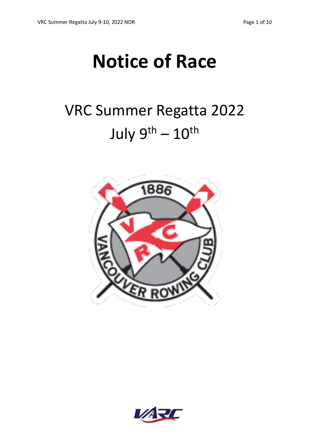# **Notice of Race**

# VRC Summer Regatta 2022 July  $9^{th} - 10^{th}$



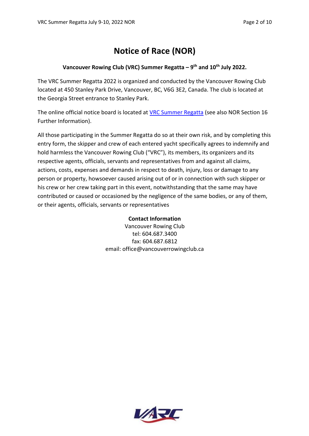# **Notice of Race (NOR)**

#### **Vancouver Rowing Club (VRC) Summer Regatta – 9th and 10th July 2022.**

The VRC Summer Regatta 2022 is organized and conducted by the Vancouver Rowing Club located at 450 Stanley Park Drive, Vancouver, BC, V6G 3E2, Canada. The club is located at the Georgia Street entrance to Stanley Park.

The online official notice board is located at [VRC Summer Regatta](https://vrcracing.ca/summerregatta/) (see also NOR Section 16 Further Information).

All those participating in the Summer Regatta do so at their own risk, and by completing this entry form, the skipper and crew of each entered yacht specifically agrees to indemnify and hold harmless the Vancouver Rowing Club ("VRC"), its members, its organizers and its respective agents, officials, servants and representatives from and against all claims, actions, costs, expenses and demands in respect to death, injury, loss or damage to any person or property, howsoever caused arising out of or in connection with such skipper or his crew or her crew taking part in this event, notwithstanding that the same may have contributed or caused or occasioned by the negligence of the same bodies, or any of them, or their agents, officials, servants or representatives

#### **Contact Information**

Vancouver Rowing Club tel: 604.687.3400 fax: 604.687.6812 email: office@vancouverrowingclub.ca

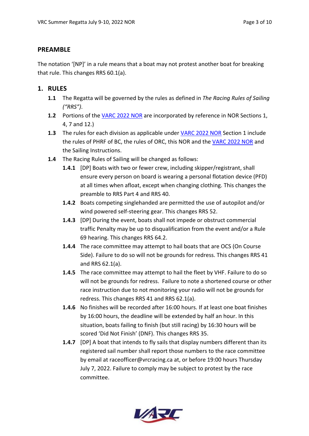### **PREAMBLE**

The notation '[NP]' in a rule means that a boat may not protest another boat for breaking that rule. This changes RRS 60.1(a).

- **1. RULES**
	- **1.1** The Regatta will be governed by the rules as defined in *The Racing Rules of Sailing ("RRS")*.
	- **1.2** Portions of the [VARC 2022 NOR](https://varc.bc.ca/wp/wp-content/uploads/2022/01/VARC-NOR-2022-Final-Jan-12.pdf) are incorporated by reference in NOR Sections 1, 4, 7 and 12.)
	- **1.3** The rules for each division as applicable under [VARC 2022 NOR](https://varc.bc.ca/wp/wp-content/uploads/2022/01/VARC-NOR-2022-Final-Jan-12.pdf) Section 1 include the rules of PHRF of BC, the rules of ORC, this NOR and the [VARC 2022 NOR](https://varc.bc.ca/wp/wp-content/uploads/2022/01/VARC-NOR-2022-Final-Jan-12.pdf) and the Sailing Instructions.
	- **1.4** The Racing Rules of Sailing will be changed as follows:
		- **1.4.1** [DP] Boats with two or fewer crew, including skipper/registrant, shall ensure every person on board is wearing a personal flotation device (PFD) at all times when afloat, except when changing clothing. This changes the preamble to RRS Part 4 and RRS 40.
		- **1.4.2** Boats competing singlehanded are permitted the use of autopilot and/or wind powered self-steering gear. This changes RRS 52.
		- **1.4.3** [DP] During the event, boats shall not impede or obstruct commercial traffic Penalty may be up to disqualification from the event and/or a Rule 69 hearing. This changes RRS 64.2.
		- **1.4.4** The race committee may attempt to hail boats that are OCS (On Course Side). Failure to do so will not be grounds for redress. This changes RRS 41 and RRS 62.1(a).
		- **1.4.5** The race committee may attempt to hail the fleet by VHF. Failure to do so will not be grounds for redress. Failure to note a shortened course or other race instruction due to not monitoring your radio will not be grounds for redress. This changes RRS 41 and RRS 62.1(a).
		- **1.4.6** No finishes will be recorded after 16:00 hours. If at least one boat finishes by 16:00 hours, the deadline will be extended by half an hour. In this situation, boats failing to finish (but still racing) by 16:30 hours will be scored 'Did Not Finish' (DNF). This changes RRS 35.
		- **1.4.7** [DP] A boat that intends to fly sails that display numbers different than its registered sail number shall report those numbers to the race committee by email at raceofficer@vrcracing.ca at, or before 19:00 hours Thursday July 7, 2022. Failure to comply may be subject to protest by the race committee.

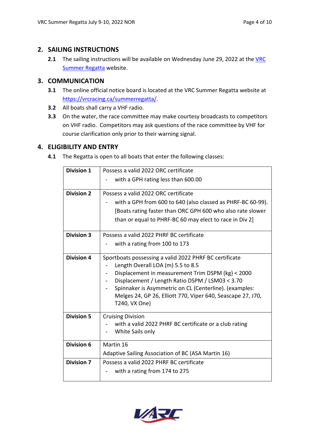#### **2. SAILING INSTRUCTIONS**

**2.1** The sailing instructions will be available on Wednesday June 29, 2022 at the [VRC](https://vrcracing.ca/summerregatta/) [Summer Regatta](https://vrcracing.ca/summerregatta/) website.

## **3. COMMUNICATION**

- **3.1** The online official notice board is located at the VRC Summer Regatta website at https://vrcracing.ca/summerregatta/.
- **3.2** All boats shall carry a VHF radio.
- **3.3** On the water, the race committee may make courtesy broadcasts to competitors on VHF radio. Competitors may ask questions of the race committee by VHF for course clarification only prior to their warning signal.

## **4. ELIGIBILITY AND ENTRY**

**4.1** The Regatta is open to all boats that enter the following classes:

| <b>Division 1</b> | Possess a valid 2022 ORC certificate                                                        |  |  |
|-------------------|---------------------------------------------------------------------------------------------|--|--|
|                   | with a GPH rating less than 600.00                                                          |  |  |
| <b>Division 2</b> | Possess a valid 2022 ORC certificate                                                        |  |  |
|                   | with a GPH from 600 to 640 (also classed as PHRF-BC 60-99).                                 |  |  |
|                   | [Boats rating faster than ORC GPH 600 who also rate slower                                  |  |  |
|                   | than or equal to PHRF-BC 60 may elect to race in Div 2                                      |  |  |
| <b>Division 3</b> | Possess a valid 2022 PHRF BC certificate                                                    |  |  |
|                   | with a rating from 100 to 173                                                               |  |  |
| <b>Division 4</b> | Sportboats possessing a valid 2022 PHRF BC certificate<br>Length Overall LOA (m) 5.5 to 8.5 |  |  |
|                   | Displacement in measurement Trim DSPM (kg) < 2000                                           |  |  |
|                   | Displacement / Length Ratio DSPM / LSM03 < 3.70                                             |  |  |
|                   | Spinnaker is Asymmetric on CL (Centerline). (examples:                                      |  |  |
|                   | Melges 24, GP 26, Elliott 770, Viper 640, Seascape 27, J70,<br>T240, VX One)                |  |  |
|                   |                                                                                             |  |  |
| <b>Division 5</b> | <b>Cruising Division</b>                                                                    |  |  |
|                   | with a valid 2022 PHRF BC certificate or a club rating<br>White Sails only                  |  |  |
|                   |                                                                                             |  |  |
| <b>Division 6</b> | Martin 16                                                                                   |  |  |
|                   | Adaptive Sailing Association of BC (ASA Martin 16)                                          |  |  |
| <b>Division 7</b> | Possess a valid 2022 PHRF BC certificate                                                    |  |  |
|                   | with a rating from 174 to 275                                                               |  |  |
|                   |                                                                                             |  |  |

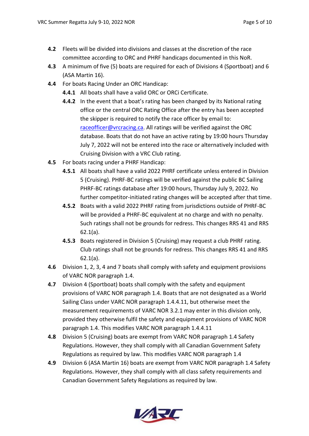- **4.2** Fleets will be divided into divisions and classes at the discretion of the race committee according to ORC and PHRF handicaps documented in this NoR.
- **4.3** A minimum of five (5) boats are required for each of Divisions 4 (Sportboat) and 6 (ASA Martin 16).
- **4.4** For boats Racing Under an ORC Handicap:
	- **4.4.1** All boats shall have a valid ORC or ORCi Certificate.
	- **4.4.2** In the event that a boat's rating has been changed by its National rating office or the central ORC Rating Office after the entry has been accepted the skipper is required to notify the race officer by email to: raceofficer@vrcracing.ca. All ratings will be verified against the ORC database. Boats that do not have an active rating by 19:00 hours Thursday July 7, 2022 will not be entered into the race or alternatively included with Cruising Division with a VRC Club rating.
- **4.5** For boats racing under a PHRF Handicap:
	- **4.5.1** All boats shall have a valid 2022 PHRF certificate unless entered in Division 5 (Cruising). PHRF-BC ratings will be verified against the public BC Sailing PHRF-BC ratings database after 19:00 hours, Thursday July 9, 2022. No further competitor-initiated rating changes will be accepted after that time.
	- **4.5.2** Boats with a valid 2022 PHRF rating from jurisdictions outside of PHRF-BC will be provided a PHRF-BC equivalent at no charge and with no penalty. Such ratings shall not be grounds for redress. This changes RRS 41 and RRS 62.1(a).
	- **4.5.3** Boats registered in Division 5 (Cruising) may request a club PHRF rating. Club ratings shall not be grounds for redress. This changes RRS 41 and RRS 62.1(a).
- **4.6** Division 1, 2, 3, 4 and 7 boats shall comply with safety and equipment provisions of VARC NOR paragraph 1.4.
- **4.7** Division 4 (Sportboat) boats shall comply with the safety and equipment provisions of VARC NOR paragraph 1.4. Boats that are not designated as a World Sailing Class under VARC NOR paragraph 1.4.4.11, but otherwise meet the measurement requirements of VARC NOR 3.2.1 may enter in this division only, provided they otherwise fulfil the safety and equipment provisions of VARC NOR paragraph 1.4. This modifies VARC NOR paragraph 1.4.4.11
- **4.8** Division 5 (Cruising) boats are exempt from VARC NOR paragraph 1.4 Safety Regulations. However, they shall comply with all Canadian Government Safety Regulations as required by law. This modifies VARC NOR paragraph 1.4
- **4.9** Division 6 (ASA Martin 16) boats are exempt from VARC NOR paragraph 1.4 Safety Regulations. However, they shall comply with all class safety requirements and Canadian Government Safety Regulations as required by law.

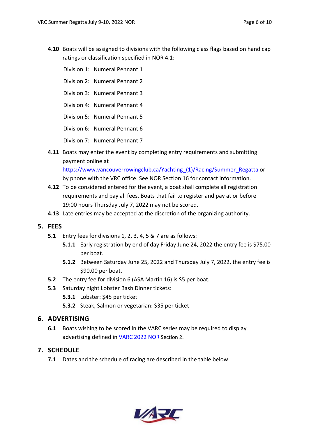**4.10** Boats will be assigned to divisions with the following class flags based on handicap ratings or classification specified in NOR 4.1:

Division 1: Numeral Pennant 1

- Division 2: Numeral Pennant 2
- Division 3: Numeral Pennant 3
- Division 4: Numeral Pennant 4
- Division 5: Numeral Pennant 5
- Division 6: Numeral Pennant 6

Division 7: Numeral Pennant 7

**4.11** Boats may enter the event by completing entry requirements and submitting payment online at

https://www.vancouverrowingclub.ca/Yachting (1)/Racing/Summer\_Regatta or

by phone with the VRC office. See NOR Section 16 for contact information.

- **4.12** To be considered entered for the event, a boat shall complete all registration requirements and pay all fees. Boats that fail to register and pay at or before 19:00 hours Thursday July 7, 2022 may not be scored.
- **4.13** Late entries may be accepted at the discretion of the organizing authority.
- **5. FEES**
	- **5.1** Entry fees for divisions 1, 2, 3, 4, 5 & 7 are as follows:
		- **5.1.1** Early registration by end of day Friday June 24, 2022 the entry fee is \$75.00 per boat.
		- **5.1.2** Between Saturday June 25, 2022 and Thursday July 7, 2022, the entry fee is \$90.00 per boat.
	- **5.2** The entry fee for division 6 (ASA Martin 16) is \$5 per boat.
	- **5.3** Saturday night Lobster Bash Dinner tickets:
		- **5.3.1** Lobster: \$45 per ticket
		- **5.3.2** Steak, Salmon or vegetarian: \$35 per ticket

#### **6. ADVERTISING**

**6.1** Boats wishing to be scored in the VARC series may be required to display advertising defined in [VARC 2022 NOR](https://varc.bc.ca/wp/wp-content/uploads/2022/01/VARC-NOR-2022-Final-Jan-12.pdf) Section 2.

#### **7. SCHEDULE**

**7.1** Dates and the schedule of racing are described in the table below.

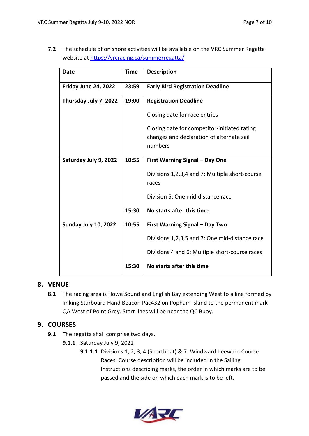**7.2** The schedule of on shore activities will be available on the VRC Summer Regatta website at https://vrcracing.ca/summerregatta/

| Date                  | <b>Time</b> | <b>Description</b>                                   |
|-----------------------|-------------|------------------------------------------------------|
| Friday June 24, 2022  | 23:59       | <b>Early Bird Registration Deadline</b>              |
| Thursday July 7, 2022 | 19:00       | <b>Registration Deadline</b>                         |
|                       |             | Closing date for race entries                        |
|                       |             | Closing date for competitor-initiated rating         |
|                       |             | changes and declaration of alternate sail<br>numbers |
|                       |             |                                                      |
| Saturday July 9, 2022 | 10:55       | <b>First Warning Signal - Day One</b>                |
|                       |             | Divisions 1,2,3,4 and 7: Multiple short-course       |
|                       |             | races                                                |
|                       |             | Division 5: One mid-distance race                    |
|                       | 15:30       | No starts after this time                            |
| Sunday July 10, 2022  | 10:55       | <b>First Warning Signal - Day Two</b>                |
|                       |             | Divisions 1,2,3,5 and 7: One mid-distance race       |
|                       |             | Divisions 4 and 6: Multiple short-course races       |
|                       | 15:30       | No starts after this time                            |

#### **8. VENUE**

**8.1** The racing area is Howe Sound and English Bay extending West to a line formed by linking Starboard Hand Beacon Pac432 on Popham Island to the permanent mark QA West of Point Grey. Start lines will be near the QC Buoy.

#### **9. COURSES**

- **9.1** The regatta shall comprise two days.
	- **9.1.1** Saturday July 9, 2022
		- **9.1.1.1** Divisions 1, 2, 3, 4 (Sportboat) & 7: Windward-Leeward Course Races: Course description will be included in the Sailing Instructions describing marks, the order in which marks are to be passed and the side on which each mark is to be left.

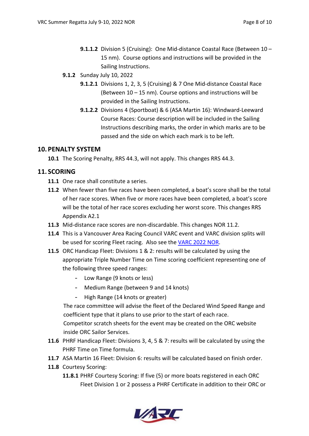- **9.1.1.2** Division 5 (Cruising): One Mid-distance Coastal Race (Between 10 15 nm). Course options and instructions will be provided in the Sailing Instructions.
- **9.1.2** Sunday July 10, 2022
	- **9.1.2.1** Divisions 1, 2, 3, 5 (Cruising) & 7 One Mid-distance Coastal Race (Between 10 – 15 nm). Course options and instructions will be provided in the Sailing Instructions.
	- **9.1.2.2** Divisions 4 (Sportboat) & 6 (ASA Martin 16): Windward-Leeward Course Races: Course description will be included in the Sailing Instructions describing marks, the order in which marks are to be passed and the side on which each mark is to be left.

#### **10. PENALTY SYSTEM**

**10.1** The Scoring Penalty, RRS 44.3, will not apply. This changes RRS 44.3.

#### **11. SCORING**

- **11.1** One race shall constitute a series.
- **11.2** When fewer than five races have been completed, a boat's score shall be the total of her race scores. When five or more races have been completed, a boat's score will be the total of her race scores excluding her worst score. This changes RRS Appendix A2.1
- **11.3** Mid-distance race scores are non-discardable. This changes NOR 11.2.
- **11.4** This is a Vancouver Area Racing Council VARC event and VARC division splits will be used for scoring Fleet racing. Also see the [VARC 2022 NOR.](https://varc.bc.ca/wp/wp-content/uploads/2022/01/VARC-NOR-2022-Final-Jan-12.pdf)
- **11.5** ORC Handicap Fleet: Divisions 1 & 2: results will be calculated by using the appropriate Triple Number Time on Time scoring coefficient representing one of the following three speed ranges:
	- Low Range (9 knots or less)
	- Medium Range (between 9 and 14 knots)
	- High Range (14 knots or greater)

The race committee will advise the fleet of the Declared Wind Speed Range and coefficient type that it plans to use prior to the start of each race. Competitor scratch sheets for the event may be created on the ORC website inside ORC Sailor Services.

- **11.6** PHRF Handicap Fleet: Divisions 3, 4, 5 & 7: results will be calculated by using the PHRF Time on Time formula.
- **11.7** ASA Martin 16 Fleet: Division 6: results will be calculated based on finish order.
- **11.8** Courtesy Scoring:
	- **11.8.1** PHRF Courtesy Scoring: If five (5) or more boats registered in each ORC Fleet Division 1 or 2 possess a PHRF Certificate in addition to their ORC or

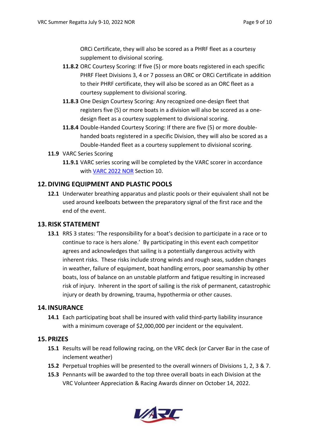ORCi Certificate, they will also be scored as a PHRF fleet as a courtesy supplement to divisional scoring.

- **11.8.2** ORC Courtesy Scoring: If five (5) or more boats registered in each specific PHRF Fleet Divisions 3, 4 or 7 possess an ORC or ORCi Certificate in addition to their PHRF certificate, they will also be scored as an ORC fleet as a courtesy supplement to divisional scoring.
- **11.8.3** One Design Courtesy Scoring: Any recognized one-design fleet that registers five (5) or more boats in a division will also be scored as a onedesign fleet as a courtesy supplement to divisional scoring.
- **11.8.4** Double-Handed Courtesy Scoring: If there are five (5) or more doublehanded boats registered in a specific Division, they will also be scored as a Double-Handed fleet as a courtesy supplement to divisional scoring.
- **11.9** VARC Series Scoring
	- **11.9.1** VARC series scoring will be completed by the VARC scorer in accordance with [VARC 2022 NOR](https://varc.bc.ca/wp/wp-content/uploads/2022/01/VARC-NOR-2022-Final-Jan-12.pdf) Section 10.

#### **12.DIVING EQUIPMENT AND PLASTIC POOLS**

**12.1** Underwater breathing apparatus and plastic pools or their equivalent shall not be used around keelboats between the preparatory signal of the first race and the end of the event.

#### **13.RISK STATEMENT**

**13.1** RRS 3 states: 'The responsibility for a boat's decision to participate in a race or to continue to race is hers alone.' By participating in this event each competitor agrees and acknowledges that sailing is a potentially dangerous activity with inherent risks. These risks include strong winds and rough seas, sudden changes in weather, failure of equipment, boat handling errors, poor seamanship by other boats, loss of balance on an unstable platform and fatigue resulting in increased risk of injury. Inherent in the sport of sailing is the risk of permanent, catastrophic injury or death by drowning, trauma, hypothermia or other causes.

#### **14. INSURANCE**

**14.1** Each participating boat shall be insured with valid third-party liability insurance with a minimum coverage of \$2,000,000 per incident or the equivalent.

#### **15. PRIZES**

- **15.1** Results will be read following racing, on the VRC deck (or Carver Bar in the case of inclement weather)
- **15.2** Perpetual trophies will be presented to the overall winners of Divisions 1, 2, 3 & 7.
- **15.3** Pennants will be awarded to the top three overall boats in each Division at the VRC Volunteer Appreciation & Racing Awards dinner on October 14, 2022.